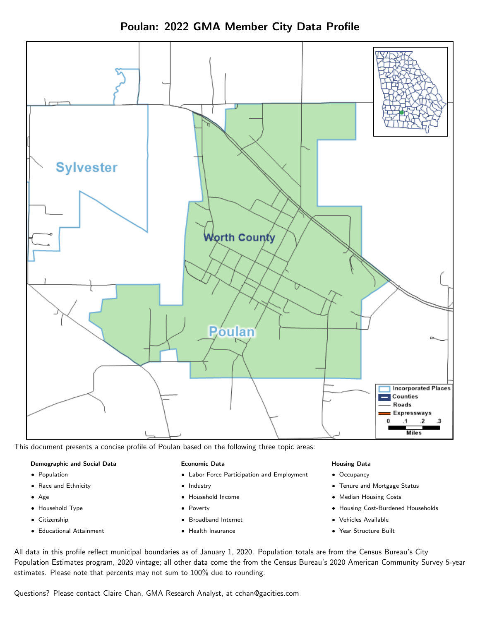



This document presents a concise profile of Poulan based on the following three topic areas:

### Demographic and Social Data

- **•** Population
- Race and Ethnicity
- Age
- Household Type
- **Citizenship**
- Educational Attainment

#### Economic Data

- Labor Force Participation and Employment
- Industry
- Household Income
- Poverty
- Broadband Internet
- Health Insurance

#### Housing Data

- Occupancy
- Tenure and Mortgage Status
- Median Housing Costs
- Housing Cost-Burdened Households
- Vehicles Available
- Year Structure Built

All data in this profile reflect municipal boundaries as of January 1, 2020. Population totals are from the Census Bureau's City Population Estimates program, 2020 vintage; all other data come the from the Census Bureau's 2020 American Community Survey 5-year estimates. Please note that percents may not sum to 100% due to rounding.

Questions? Please contact Claire Chan, GMA Research Analyst, at [cchan@gacities.com.](mailto:cchan@gacities.com)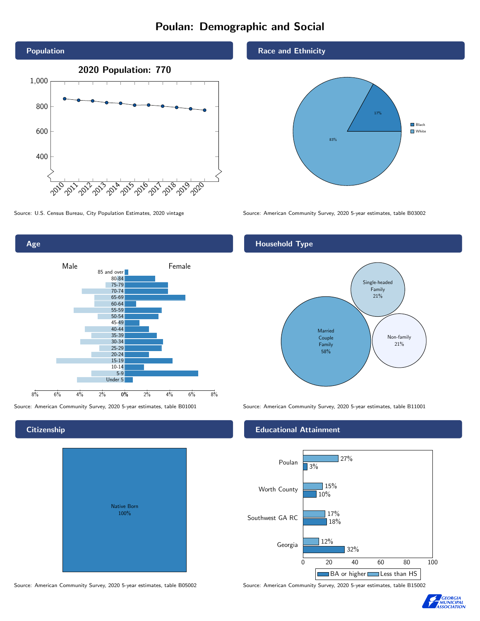# Poulan: Demographic and Social



0% 2% 4% 6% 8% Male and the male of the Female 8% 6% 4% 2% 85 and over 80-84 75-79 70-74 65-69 60-64 55-59 50-54 45-49 40-44 35-39 30-34 25-29 20-24 15-19 10-14 5-9 Under 5

# **Citizenship**

Age

| Native Born<br>100% |  |
|---------------------|--|

## Race and Ethnicity



Source: U.S. Census Bureau, City Population Estimates, 2020 vintage Source: American Community Survey, 2020 5-year estimates, table B03002

## Household Type



Source: American Community Survey, 2020 5-year estimates, table B01001 Source: American Community Survey, 2020 5-year estimates, table B11001

### Educational Attainment



Source: American Community Survey, 2020 5-year estimates, table B05002 Source: American Community Survey, 2020 5-year estimates, table B15002

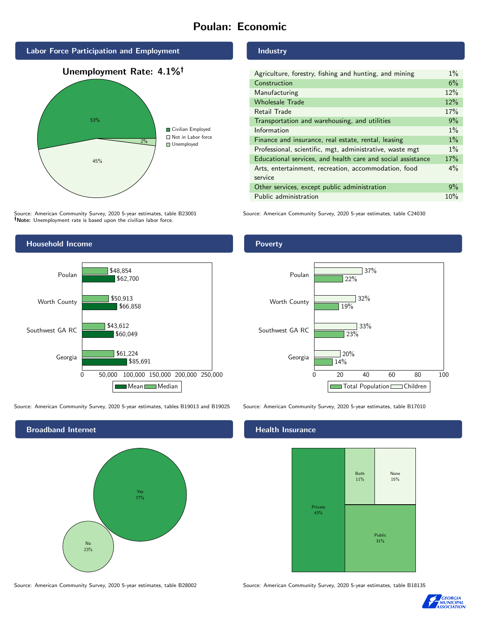# Poulan: Economic



Source: American Community Survey, 2020 5-year estimates, table B23001 Note: Unemployment rate is based upon the civilian labor force.

### Industry

| Agriculture, forestry, fishing and hunting, and mining      | $1\%$ |
|-------------------------------------------------------------|-------|
| Construction                                                | 6%    |
| Manufacturing                                               | 12%   |
| <b>Wholesale Trade</b>                                      | 12%   |
| Retail Trade                                                | 17%   |
| Transportation and warehousing, and utilities               | 9%    |
| Information                                                 | $1\%$ |
| Finance and insurance, real estate, rental, leasing         | $1\%$ |
| Professional, scientific, mgt, administrative, waste mgt    | $1\%$ |
| Educational services, and health care and social assistance |       |
| Arts, entertainment, recreation, accommodation, food        |       |
| service                                                     |       |
| Other services, except public administration                | 9%    |
| Public administration                                       | 10%   |

Source: American Community Survey, 2020 5-year estimates, table C24030



Source: American Community Survey, 2020 5-year estimates, tables B19013 and B19025 Source: American Community Survey, 2020 5-year estimates, table B17010



### Poverty



### Health Insurance



Source: American Community Survey, 2020 5-year estimates, table B28002 Source: American Community Survey, 2020 5-year estimates, table B18135